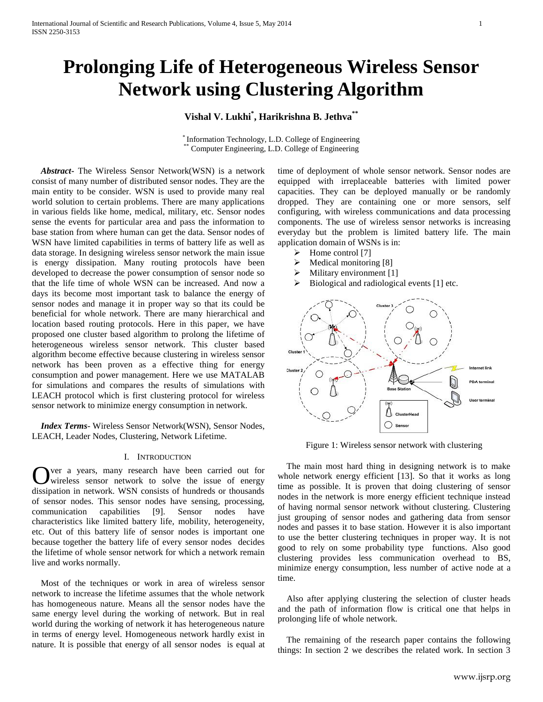# **Prolonging Life of Heterogeneous Wireless Sensor Network using Clustering Algorithm**

# **Vishal V. Lukhi\* , Harikrishna B. Jethva\*\***

\* Information Technology, L.D. College of Engineering Computer Engineering, L.D. College of Engineering

 *Abstract***-** The Wireless Sensor Network(WSN) is a network consist of many number of distributed sensor nodes. They are the main entity to be consider. WSN is used to provide many real world solution to certain problems. There are many applications in various fields like home, medical, military, etc. Sensor nodes sense the events for particular area and pass the information to base station from where human can get the data. Sensor nodes of WSN have limited capabilities in terms of battery life as well as data storage. In designing wireless sensor network the main issue is energy dissipation. Many routing protocols have been developed to decrease the power consumption of sensor node so that the life time of whole WSN can be increased. And now a days its become most important task to balance the energy of sensor nodes and manage it in proper way so that its could be beneficial for whole network. There are many hierarchical and location based routing protocols. Here in this paper, we have proposed one cluster based algorithm to prolong the lifetime of heterogeneous wireless sensor network. This cluster based algorithm become effective because clustering in wireless sensor network has been proven as a effective thing for energy consumption and power management. Here we use MATALAB for simulations and compares the results of simulations with LEACH protocol which is first clustering protocol for wireless sensor network to minimize energy consumption in network.

 *Index Terms*- Wireless Sensor Network(WSN), Sensor Nodes, LEACH, Leader Nodes, Clustering, Network Lifetime.

## I. INTRODUCTION

ver a years, many research have been carried out for wireless sensor network to solve the issue of energy dissipation in network. WSN consists of hundreds or thousands of sensor nodes. This sensor nodes have sensing, processing, communication capabilities [9]. Sensor nodes have characteristics like limited battery life, mobility, heterogeneity, etc. Out of this battery life of sensor nodes is important one because together the battery life of every sensor nodes decides the lifetime of whole sensor network for which a network remain live and works normally. O

 Most of the techniques or work in area of wireless sensor network to increase the lifetime assumes that the whole network has homogeneous nature. Means all the sensor nodes have the same energy level during the working of network. But in real world during the working of network it has heterogeneous nature in terms of energy level. Homogeneous network hardly exist in nature. It is possible that energy of all sensor nodes is equal at time of deployment of whole sensor network. Sensor nodes are equipped with irreplaceable batteries with limited power capacities. They can be deployed manually or be randomly dropped. They are containing one or more sensors, self configuring, with wireless communications and data processing components. The use of wireless sensor networks is increasing everyday but the problem is limited battery life. The main application domain of WSNs is in:

- $\triangleright$  Home control [7]
- $\triangleright$  Medical monitoring [8]
- $\triangleright$  Military environment [1]
- $\triangleright$  Biological and radiological events [1] etc.



Figure 1: Wireless sensor network with clustering

 The main most hard thing in designing network is to make whole network energy efficient [13]. So that it works as long time as possible. It is proven that doing clustering of sensor nodes in the network is more energy efficient technique instead of having normal sensor network without clustering. Clustering just grouping of sensor nodes and gathering data from sensor nodes and passes it to base station. However it is also important to use the better clustering techniques in proper way. It is not good to rely on some probability type functions. Also good clustering provides less communication overhead to BS, minimize energy consumption, less number of active node at a time.

 Also after applying clustering the selection of cluster heads and the path of information flow is critical one that helps in prolonging life of whole network.

 The remaining of the research paper contains the following things: In section 2 we describes the related work. In section 3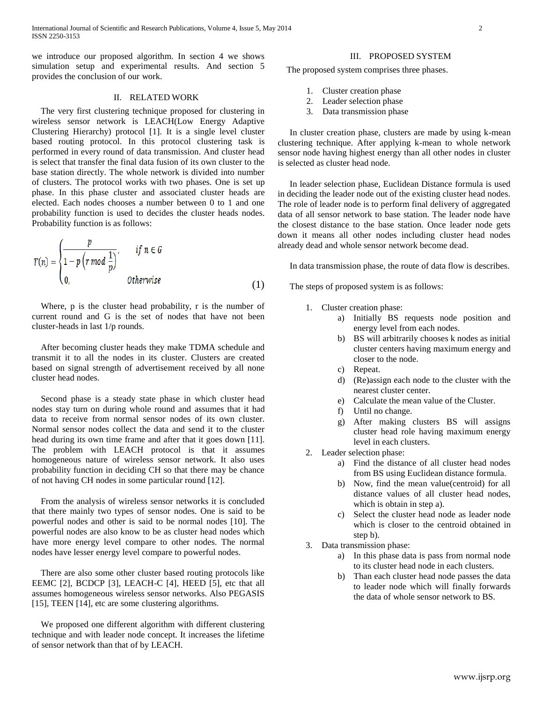we introduce our proposed algorithm. In section 4 we shows simulation setup and experimental results. And section 5 provides the conclusion of our work.

## II. RELATED WORK

 The very first clustering technique proposed for clustering in wireless sensor network is LEACH(Low Energy Adaptive Clustering Hierarchy) protocol [1]. It is a single level cluster based routing protocol. In this protocol clustering task is performed in every round of data transmission. And cluster head is select that transfer the final data fusion of its own cluster to the base station directly. The whole network is divided into number of clusters. The protocol works with two phases. One is set up phase. In this phase cluster and associated cluster heads are elected. Each nodes chooses a number between 0 to 1 and one probability function is used to decides the cluster heads nodes. Probability function is as follows:

$$
T(n) = \begin{cases} \frac{p}{1 - p \left(r \mod \frac{1}{p}\right)}, & \text{if } n \in G \\ 0, & \text{otherwise} \end{cases} \tag{1}
$$

 Where, p is the cluster head probability, r is the number of current round and G is the set of nodes that have not been cluster-heads in last 1/p rounds.

 After becoming cluster heads they make TDMA schedule and transmit it to all the nodes in its cluster. Clusters are created based on signal strength of advertisement received by all none cluster head nodes.

 Second phase is a steady state phase in which cluster head nodes stay turn on during whole round and assumes that it had data to receive from normal sensor nodes of its own cluster. Normal sensor nodes collect the data and send it to the cluster head during its own time frame and after that it goes down [11]. The problem with LEACH protocol is that it assumes homogeneous nature of wireless sensor network. It also uses probability function in deciding CH so that there may be chance of not having CH nodes in some particular round [12].

 From the analysis of wireless sensor networks it is concluded that there mainly two types of sensor nodes. One is said to be powerful nodes and other is said to be normal nodes [10]. The powerful nodes are also know to be as cluster head nodes which have more energy level compare to other nodes. The normal nodes have lesser energy level compare to powerful nodes.

 There are also some other cluster based routing protocols like EEMC [2], BCDCP [3], LEACH-C [4], HEED [5], etc that all assumes homogeneous wireless sensor networks. Also PEGASIS [15], TEEN [14], etc are some clustering algorithms.

 We proposed one different algorithm with different clustering technique and with leader node concept. It increases the lifetime of sensor network than that of by LEACH.

## III. PROPOSED SYSTEM

The proposed system comprises three phases.

- 1. Cluster creation phase
- 2. Leader selection phase
- 3. Data transmission phase

In cluster creation phase, clusters are made by using k-mean clustering technique. After applying k-mean to whole network sensor node having highest energy than all other nodes in cluster is selected as cluster head node.

In leader selection phase, Euclidean Distance formula is used in deciding the leader node out of the existing cluster head nodes. The role of leader node is to perform final delivery of aggregated data of all sensor network to base station. The leader node have the closest distance to the base station. Once leader node gets down it means all other nodes including cluster head nodes already dead and whole sensor network become dead.

In data transmission phase, the route of data flow is describes.

The steps of proposed system is as follows:

- 1. Cluster creation phase:
	- a) Initially BS requests node position and energy level from each nodes.
	- b) BS will arbitrarily chooses k nodes as initial cluster centers having maximum energy and closer to the node.
	- c) Repeat.
	- d) (Re)assign each node to the cluster with the nearest cluster center.
	- e) Calculate the mean value of the Cluster.
	- f) Until no change.
	- g) After making clusters BS will assigns cluster head role having maximum energy level in each clusters.
	- 2. Leader selection phase:
		- a) Find the distance of all cluster head nodes from BS using Euclidean distance formula.
		- b) Now, find the mean value(centroid) for all distance values of all cluster head nodes, which is obtain in step a).
		- c) Select the cluster head node as leader node which is closer to the centroid obtained in step b).
- 3. Data transmission phase:
	- a) In this phase data is pass from normal node to its cluster head node in each clusters.
	- b) Than each cluster head node passes the data to leader node which will finally forwards the data of whole sensor network to BS.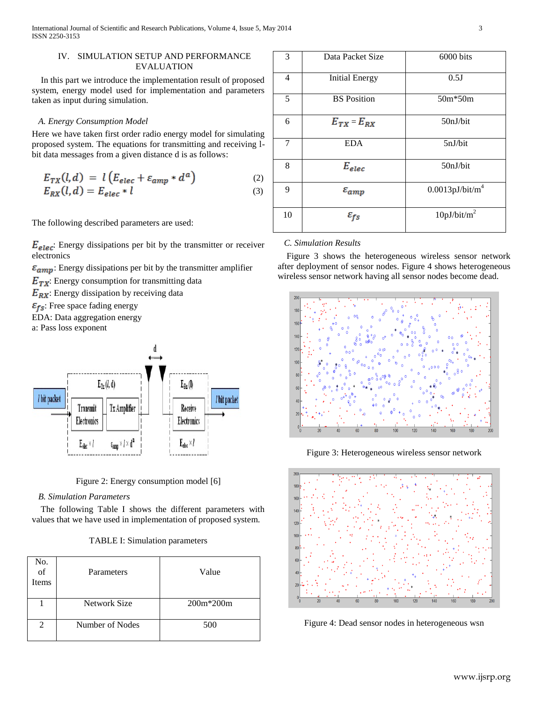## IV. SIMULATION SETUP AND PERFORMANCE EVALUATION

 In this part we introduce the implementation result of proposed system, energy model used for implementation and parameters taken as input during simulation.

# *A. Energy Consumption Model*

Here we have taken first order radio energy model for simulating proposed system. The equations for transmitting and receiving lbit data messages from a given distance d is as follows:

$$
E_{TX}(l,d) = l \left( E_{elec} + \varepsilon_{amp} * d^a \right) \tag{2}
$$

$$
E_{RX}(l,d) = E_{elec} * l \tag{3}
$$

The following described parameters are used:

 $E_{elec}$ : Energy dissipations per bit by the transmitter or receiver electronics

- $\varepsilon_{amp}$ : Energy dissipations per bit by the transmitter amplifier
- $E_{TX}$ : Energy consumption for transmitting data
- $E_{RX}$ : Energy dissipation by receiving data
- $\varepsilon_{fs}$ : Free space fading energy
- EDA: Data aggregation energy
- a: Pass loss exponent



Figure 2: Energy consumption model [6]

# *B. Simulation Parameters*

 The following Table I shows the different parameters with values that we have used in implementation of proposed system.

# TABLE I: Simulation parameters

| No.<br>of<br>Items | Parameters      | Value       |
|--------------------|-----------------|-------------|
|                    | Network Size    | $200m*200m$ |
| 2                  | Number of Nodes | 500         |

| 3  | Data Packet Size      | 6000 bits                      |
|----|-----------------------|--------------------------------|
| 4  | <b>Initial Energy</b> | 0.5J                           |
| 5  | <b>BS</b> Position    | 50m*50m                        |
| 6  | $E_{TX} = E_{RX}$     | 50nJ/bit                       |
| 7  | <b>EDA</b>            | 5nJ/bit                        |
| 8  | $E_{elec}$            | 50nJ/bit                       |
| 9  | $\varepsilon_{amp}$   | $0.0013$ pJ/bit/m <sup>4</sup> |
| 10 | $\varepsilon_{fs}$    | 10pJ/bit/m <sup>2</sup>        |

## *C. Simulation Results*

 Figure 3 shows the heterogeneous wireless sensor network after deployment of sensor nodes. Figure 4 shows heterogeneous wireless sensor network having all sensor nodes become dead.



Figure 3: Heterogeneous wireless sensor network



Figure 4: Dead sensor nodes in heterogeneous wsn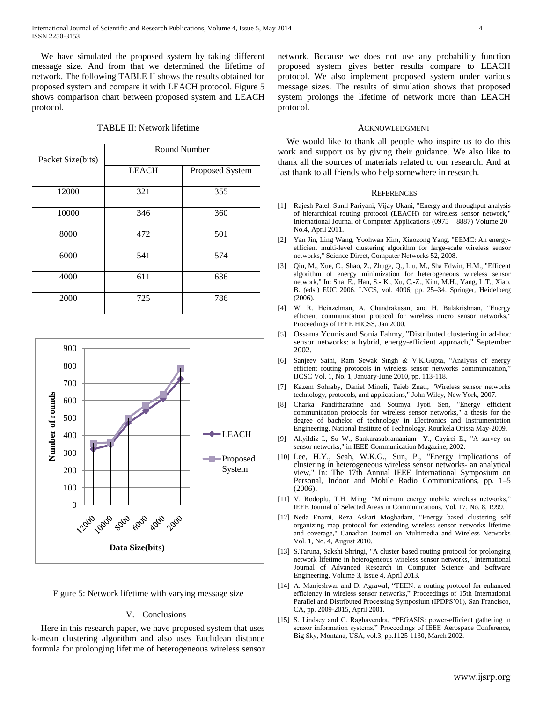We have simulated the proposed system by taking different message size. And from that we determined the lifetime of network. The following TABLE II shows the results obtained for proposed system and compare it with LEACH protocol. Figure 5 shows comparison chart between proposed system and LEACH protocol.

## TABLE II: Network lifetime

| Packet Size(bits) | <b>Round Number</b> |                 |
|-------------------|---------------------|-----------------|
|                   | <b>LEACH</b>        | Proposed System |
| 12000             | 321                 | 355             |
| 10000             | 346                 | 360             |
| 8000              | 472                 | 501             |
| 6000              | 541                 | 574             |
| 4000              | 611                 | 636             |
| 2000              | 725                 | 786             |



Figure 5: Network lifetime with varying message size

## V. Conclusions

 Here in this research paper, we have proposed system that uses k-mean clustering algorithm and also uses Euclidean distance formula for prolonging lifetime of heterogeneous wireless sensor network. Because we does not use any probability function proposed system gives better results compare to LEACH protocol. We also implement proposed system under various message sizes. The results of simulation shows that proposed system prolongs the lifetime of network more than LEACH protocol.

#### ACKNOWLEDGMENT

 We would like to thank all people who inspire us to do this work and support us by giving their guidance. We also like to thank all the sources of materials related to our research. And at last thank to all friends who help somewhere in research.

#### **REFERENCES**

- [1] Rajesh Patel, Sunil Pariyani, Vijay Ukani, "Energy and throughput analysis of hierarchical routing protocol (LEACH) for wireless sensor network," International Journal of Computer Applications (0975 – 8887) Volume 20– No.4, April 2011.
- [2] Yan Jin, Ling Wang, Yoohwan Kim, Xiaozong Yang, "EEMC: An energyefficient multi-level clustering algorithm for large-scale wireless sensor networks," Science Direct, Computer Networks 52, 2008.
- [3] Qiu, M., Xue, C., Shao, Z., Zhuge, Q., Liu, M., Sha Edwin, H.M., "Efficent algorithm of energy minimization for heterogeneous wireless sensor network," In: Sha, E., Han, S.- K., Xu, C.-Z., Kim, M.H., Yang, L.T., Xiao, B. (eds.) EUC 2006. LNCS, vol. 4096, pp. 25–34. Springer, Heidelberg (2006).
- [4] W. R. Heinzelman, A. Chandrakasan, and H. Balakrishnan, "Energy efficient communication protocol for wireless micro sensor networks," Proceedings of IEEE HICSS, Jan 2000.
- [5] Ossama Younis and Sonia Fahmy, "Distributed clustering in ad-hoc sensor networks: a hybrid, energy-efficient approach," September 2002.
- [6] Sanjeev Saini, Ram Sewak Singh & V.K.Gupta, "Analysis of energy efficient routing protocols in wireless sensor networks communication," IJCSC Vol. 1, No. 1, January-June 2010, pp. 113-118.
- [7] Kazem Sohraby, Daniel Minoli, Taieb Znati, "Wireless sensor networks technology, protocols, and applications," John Wiley, New York, 2007.
- [8] Charka Panditharathne and Soumya Jyoti Sen, "Energy efficient communication protocols for wireless sensor networks," a thesis for the degree of bachelor of technology in Electronics and Instrumentation Engineering, National Institute of Technology, Rourkela Orissa May-2009.
- [9] Akyildiz I., Su W., Sankarasubramaniam Y., Cayirci E., "A survey on sensor networks," in IEEE Communication Magazine, 2002.
- [10] Lee, H.Y., Seah, W.K.G., Sun, P., "Energy implications of clustering in heterogeneous wireless sensor networks- an analytical view," In: The 17th Annual IEEE International Symposium on Personal, Indoor and Mobile Radio Communications, pp. 1–5 (2006).
- [11] V. Rodoplu, T.H. Ming, "Minimum energy mobile wireless networks," IEEE Journal of Selected Areas in Communications, Vol. 17, No. 8, 1999.
- [12] Neda Enami, Reza Askari Moghadam, "Energy based clustering self organizing map protocol for extending wireless sensor networks lifetime and coverage," Canadian Journal on Multimedia and Wireless Networks Vol. 1, No. 4, August 2010.
- [13] S.Taruna, Sakshi Shringi, "A cluster based routing protocol for prolonging network lifetime in heterogeneous wireless sensor networks," International Journal of Advanced Research in Computer Science and Software Engineering, Volume 3, Issue 4, April 2013.
- [14] A. Manjeshwar and D. Agrawal, "TEEN: a routing protocol for enhanced efficiency in wireless sensor networks," Proceedings of 15th International Parallel and Distributed Processing Symposium (IPDPS'01), San Francisco, CA, pp. 2009-2015, April 2001.
- [15] S. Lindsey and C. Raghavendra, "PEGASIS: power-efficient gathering in sensor information systems," Proceedings of IEEE Aerospace Conference, Big Sky, Montana, USA, vol.3, pp.1125-1130, March 2002.